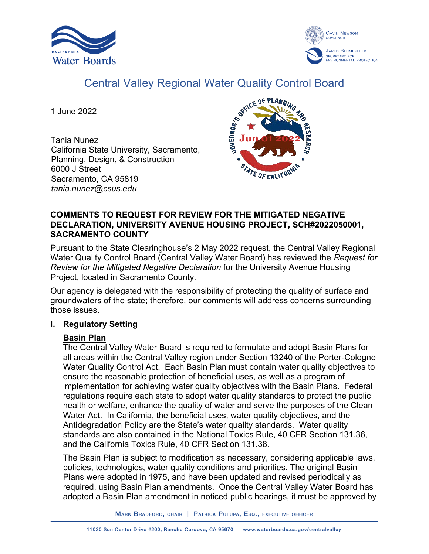



# Central Valley Regional Water Quality Control Board

1 June 2022

Tania Nunez California State University, Sacramento, Planning, Design, & Construction 6000 J Street Sacramento, CA 95819 *tania.nunez@csus.edu*



## **COMMENTS TO REQUEST FOR REVIEW FOR THE MITIGATED NEGATIVE DECLARATION, UNIVERSITY AVENUE HOUSING PROJECT, SCH#2022050001, SACRAMENTO COUNTY**

Pursuant to the State Clearinghouse's 2 May 2022 request, the Central Valley Regional Water Quality Control Board (Central Valley Water Board) has reviewed the *Request for Review for the Mitigated Negative Declaration* for the University Avenue Housing Project, located in Sacramento County.

Our agency is delegated with the responsibility of protecting the quality of surface and groundwaters of the state; therefore, our comments will address concerns surrounding those issues.

### **I. Regulatory Setting**

# **Basin Plan**

The Central Valley Water Board is required to formulate and adopt Basin Plans for all areas within the Central Valley region under Section 13240 of the Porter-Cologne Water Quality Control Act. Each Basin Plan must contain water quality objectives to ensure the reasonable protection of beneficial uses, as well as a program of implementation for achieving water quality objectives with the Basin Plans. Federal regulations require each state to adopt water quality standards to protect the public health or welfare, enhance the quality of water and serve the purposes of the Clean Water Act. In California, the beneficial uses, water quality objectives, and the Antidegradation Policy are the State's water quality standards. Water quality standards are also contained in the National Toxics Rule, 40 CFR Section 131.36, and the California Toxics Rule, 40 CFR Section 131.38.

The Basin Plan is subject to modification as necessary, considering applicable laws, policies, technologies, water quality conditions and priorities. The original Basin Plans were adopted in 1975, and have been updated and revised periodically as required, using Basin Plan amendments. Once the Central Valley Water Board has adopted a Basin Plan amendment in noticed public hearings, it must be approved by

MARK BRADFORD, CHAIR | PATRICK PULUPA, ESQ., EXECUTIVE OFFICER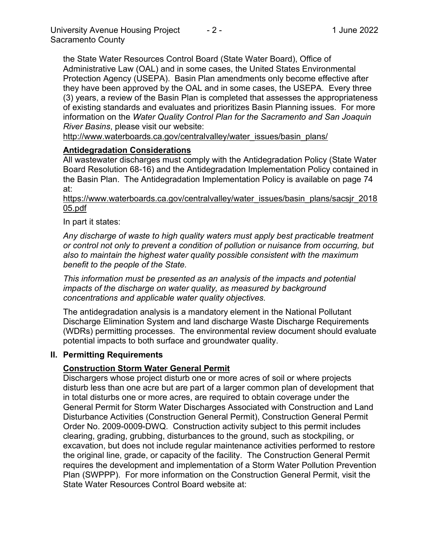the State Water Resources Control Board (State Water Board), Office of Administrative Law (OAL) and in some cases, the United States Environmental Protection Agency (USEPA). Basin Plan amendments only become effective after they have been approved by the OAL and in some cases, the USEPA. Every three (3) years, a review of the Basin Plan is completed that assesses the appropriateness of existing standards and evaluates and prioritizes Basin Planning issues. For more information on the *Water Quality Control Plan for the Sacramento and San Joaquin River Basins*, please visit our website:

[http://www.waterboards.ca.gov/centralvalley/water\\_issues/basin\\_plans/](http://www.waterboards.ca.gov/centralvalley/water_issues/basin_plans/)

## **Antidegradation Considerations**

All wastewater discharges must comply with the Antidegradation Policy (State Water Board Resolution 68-16) and the Antidegradation Implementation Policy contained in the Basin Plan. The Antidegradation Implementation Policy is available on page 74 at:

## https://www.waterboards.ca.gov/centralvalley/water\_issues/basin\_plans/sacsjr\_2018 05.pdf

# In part it states:

*Any discharge of waste to high quality waters must apply best practicable treatment or control not only to prevent a condition of pollution or nuisance from occurring, but also to maintain the highest water quality possible consistent with the maximum benefit to the people of the State.*

*This information must be presented as an analysis of the impacts and potential impacts of the discharge on water quality, as measured by background concentrations and applicable water quality objectives.*

The antidegradation analysis is a mandatory element in the National Pollutant Discharge Elimination System and land discharge Waste Discharge Requirements (WDRs) permitting processes. The environmental review document should evaluate potential impacts to both surface and groundwater quality.

### **II. Permitting Requirements**

# **Construction Storm Water General Permit**

Dischargers whose project disturb one or more acres of soil or where projects disturb less than one acre but are part of a larger common plan of development that in total disturbs one or more acres, are required to obtain coverage under the General Permit for Storm Water Discharges Associated with Construction and Land Disturbance Activities (Construction General Permit), Construction General Permit Order No. 2009-0009-DWQ. Construction activity subject to this permit includes clearing, grading, grubbing, disturbances to the ground, such as stockpiling, or excavation, but does not include regular maintenance activities performed to restore the original line, grade, or capacity of the facility. The Construction General Permit requires the development and implementation of a Storm Water Pollution Prevention Plan (SWPPP). For more information on the Construction General Permit, visit the State Water Resources Control Board website at: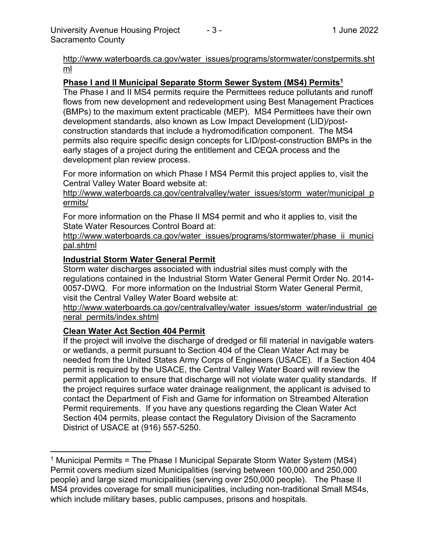[http://www.waterboards.ca.gov/water\\_issues/programs/stormwater/constpermits.sht](http://www.waterboards.ca.gov/water_issues/programs/stormwater/constpermits.shtml) [ml](http://www.waterboards.ca.gov/water_issues/programs/stormwater/constpermits.shtml)

## **Phase I and II Municipal Separate Storm Sewer System (MS4) Permits<sup>1</sup>**

The Phase I and II MS4 permits require the Permittees reduce pollutants and runoff flows from new development and redevelopment using Best Management Practices (BMPs) to the maximum extent practicable (MEP). MS4 Permittees have their own development standards, also known as Low Impact Development (LID)/postconstruction standards that include a hydromodification component. The MS4 permits also require specific design concepts for LID/post-construction BMPs in the early stages of a project during the entitlement and CEQA process and the development plan review process.

For more information on which Phase I MS4 Permit this project applies to, visit the Central Valley Water Board website at:

http://www.waterboards.ca.gov/centralvalley/water\_issues/storm\_water/municipal\_p ermits/

For more information on the Phase II MS4 permit and who it applies to, visit the State Water Resources Control Board at:

http://www.waterboards.ca.gov/water\_issues/programs/stormwater/phase\_ii\_munici pal.shtml

### **Industrial Storm Water General Permit**

Storm water discharges associated with industrial sites must comply with the regulations contained in the Industrial Storm Water General Permit Order No. 2014- 0057-DWQ. For more information on the Industrial Storm Water General Permit, visit the Central Valley Water Board website at:

http://www.waterboards.ca.gov/centralvalley/water\_issues/storm\_water/industrial\_ge neral\_permits/index.shtml

# **Clean Water Act Section 404 Permit**

If the project will involve the discharge of dredged or fill material in navigable waters or wetlands, a permit pursuant to Section 404 of the Clean Water Act may be needed from the United States Army Corps of Engineers (USACE). If a Section 404 permit is required by the USACE, the Central Valley Water Board will review the permit application to ensure that discharge will not violate water quality standards. If the project requires surface water drainage realignment, the applicant is advised to contact the Department of Fish and Game for information on Streambed Alteration Permit requirements. If you have any questions regarding the Clean Water Act Section 404 permits, please contact the Regulatory Division of the Sacramento District of USACE at (916) 557-5250.

<sup>&</sup>lt;sup>1</sup> Municipal Permits = The Phase I Municipal Separate Storm Water System (MS4) Permit covers medium sized Municipalities (serving between 100,000 and 250,000 people) and large sized municipalities (serving over 250,000 people). The Phase II MS4 provides coverage for small municipalities, including non-traditional Small MS4s, which include military bases, public campuses, prisons and hospitals.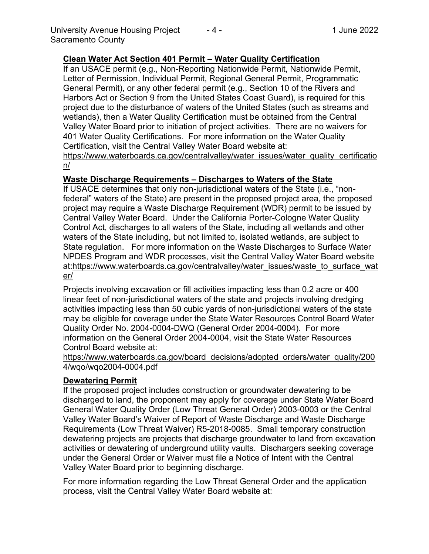## **Clean Water Act Section 401 Permit – Water Quality Certification**

If an USACE permit (e.g., Non-Reporting Nationwide Permit, Nationwide Permit, Letter of Permission, Individual Permit, Regional General Permit, Programmatic General Permit), or any other federal permit (e.g., Section 10 of the Rivers and Harbors Act or Section 9 from the United States Coast Guard), is required for this project due to the disturbance of waters of the United States (such as streams and wetlands), then a Water Quality Certification must be obtained from the Central Valley Water Board prior to initiation of project activities. There are no waivers for 401 Water Quality Certifications. For more information on the Water Quality Certification, visit the Central Valley Water Board website at: https://www.waterboards.ca.gov/centralvalley/water\_issues/water\_quality\_certificatio

n/

### **Waste Discharge Requirements – Discharges to Waters of the State**

If USACE determines that only non-jurisdictional waters of the State (i.e., "nonfederal" waters of the State) are present in the proposed project area, the proposed project may require a Waste Discharge Requirement (WDR) permit to be issued by Central Valley Water Board. Under the California Porter-Cologne Water Quality Control Act, discharges to all waters of the State, including all wetlands and other waters of the State including, but not limited to, isolated wetlands, are subject to State regulation. For more information on the Waste Discharges to Surface Water NPDES Program and WDR processes, visit the Central Valley Water Board website at:https://www.waterboards.ca.gov/centralvalley/water\_issues/waste\_to\_surface\_wat er/

Projects involving excavation or fill activities impacting less than 0.2 acre or 400 linear feet of non-jurisdictional waters of the state and projects involving dredging activities impacting less than 50 cubic yards of non-jurisdictional waters of the state may be eligible for coverage under the State Water Resources Control Board Water Quality Order No. 2004-0004-DWQ (General Order 2004-0004). For more information on the General Order 2004-0004, visit the State Water Resources Control Board website at:

#### https://www.waterboards.ca.gov/board\_decisions/adopted\_orders/water\_quality/200 4/wqo/wqo2004-0004.pdf

### **Dewatering Permit**

If the proposed project includes construction or groundwater dewatering to be discharged to land, the proponent may apply for coverage under State Water Board General Water Quality Order (Low Threat General Order) 2003-0003 or the Central Valley Water Board's Waiver of Report of Waste Discharge and Waste Discharge Requirements (Low Threat Waiver) R5-2018-0085. Small temporary construction dewatering projects are projects that discharge groundwater to land from excavation activities or dewatering of underground utility vaults. Dischargers seeking coverage under the General Order or Waiver must file a Notice of Intent with the Central Valley Water Board prior to beginning discharge.

For more information regarding the Low Threat General Order and the application process, visit the Central Valley Water Board website at: